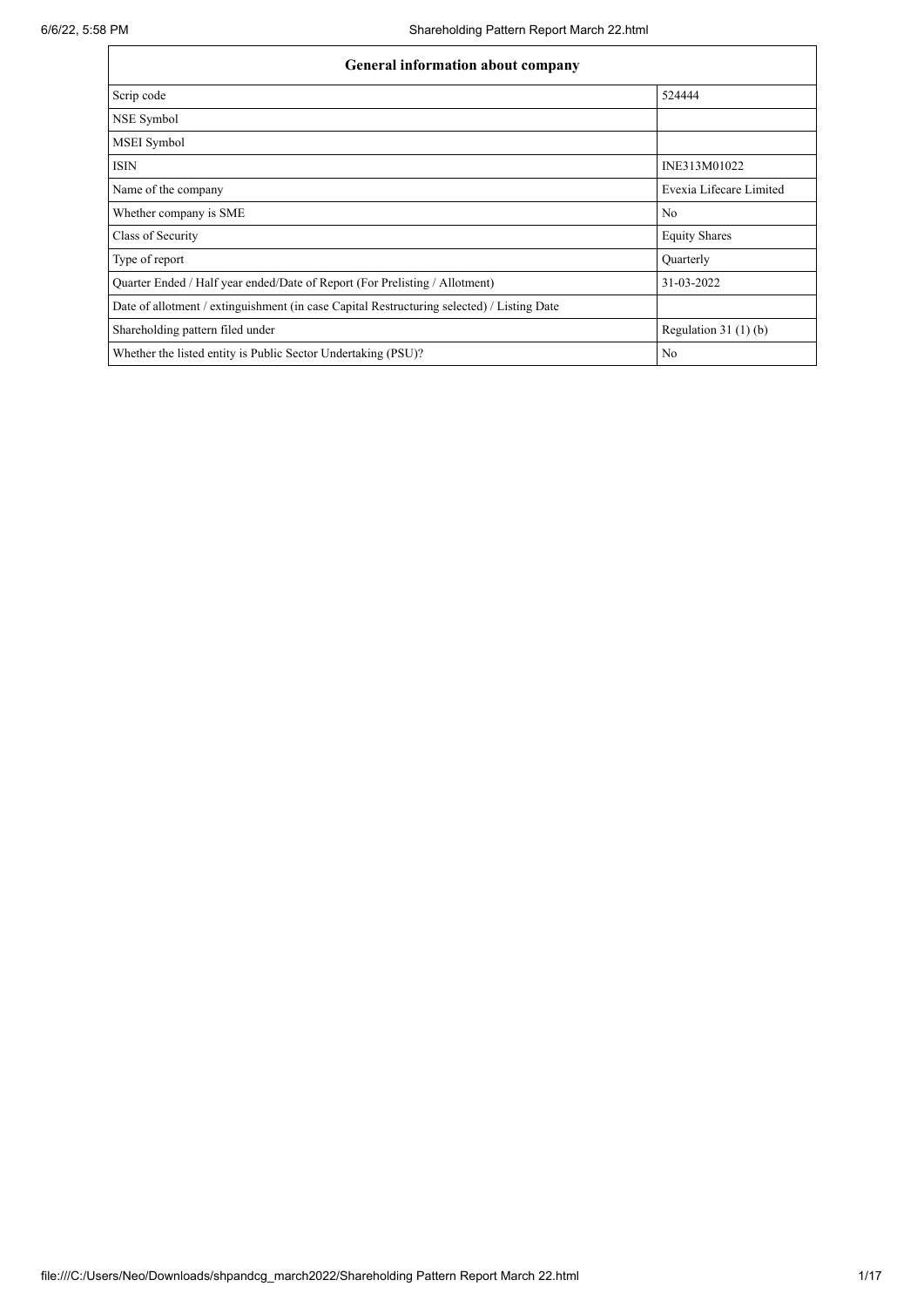| <b>General information about company</b>                                                   |                         |  |  |  |  |  |  |
|--------------------------------------------------------------------------------------------|-------------------------|--|--|--|--|--|--|
| Scrip code                                                                                 | 524444                  |  |  |  |  |  |  |
| NSE Symbol                                                                                 |                         |  |  |  |  |  |  |
| MSEI Symbol                                                                                |                         |  |  |  |  |  |  |
| <b>ISIN</b>                                                                                | INE313M01022            |  |  |  |  |  |  |
| Name of the company                                                                        | Evexia Lifecare Limited |  |  |  |  |  |  |
| Whether company is SME                                                                     | N <sub>o</sub>          |  |  |  |  |  |  |
| Class of Security                                                                          | <b>Equity Shares</b>    |  |  |  |  |  |  |
| Type of report                                                                             | Quarterly               |  |  |  |  |  |  |
| Quarter Ended / Half year ended/Date of Report (For Prelisting / Allotment)                | 31-03-2022              |  |  |  |  |  |  |
| Date of allotment / extinguishment (in case Capital Restructuring selected) / Listing Date |                         |  |  |  |  |  |  |
| Shareholding pattern filed under                                                           | Regulation $31(1)(b)$   |  |  |  |  |  |  |
| Whether the listed entity is Public Sector Undertaking (PSU)?                              | No                      |  |  |  |  |  |  |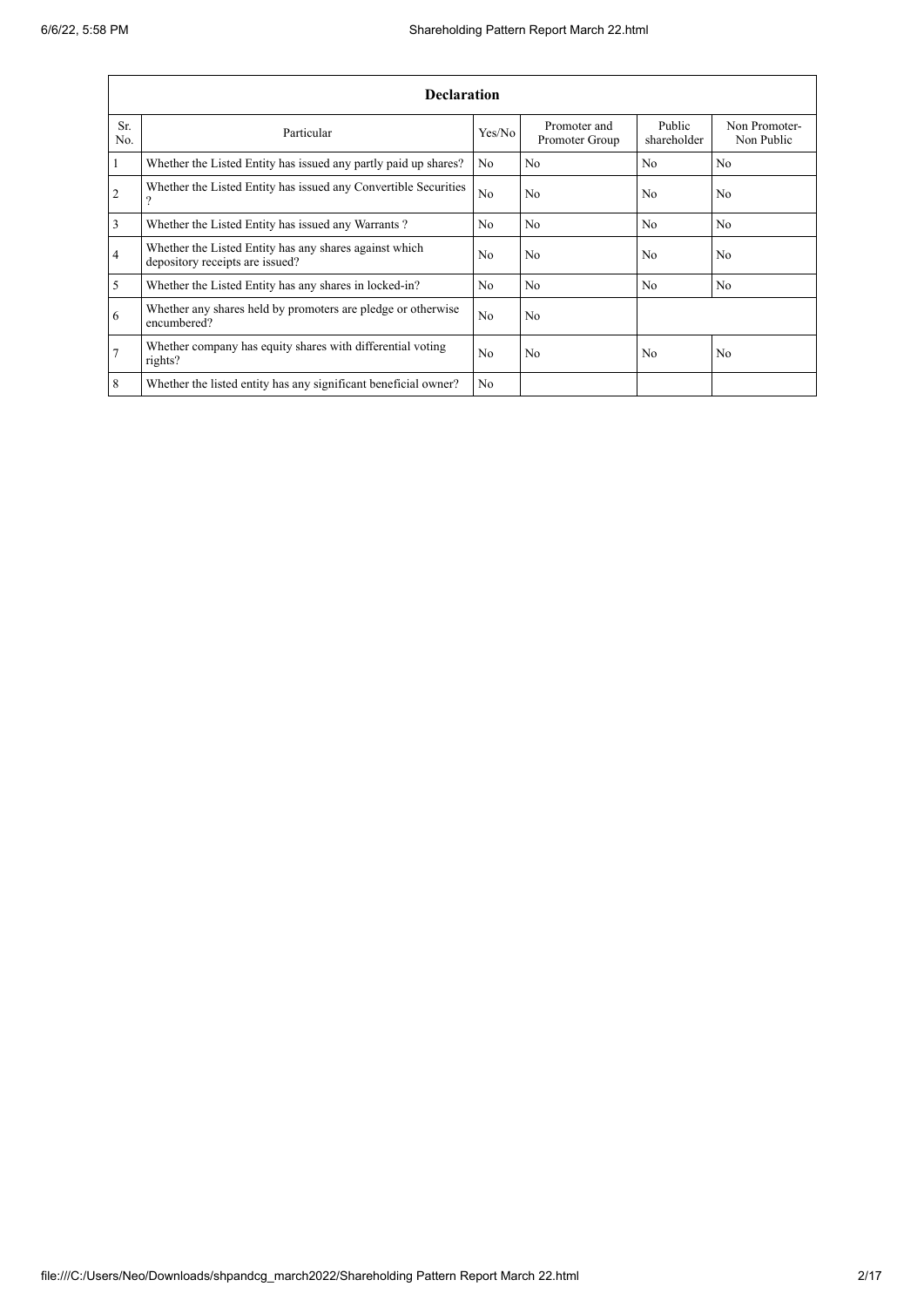|                | <b>Declaration</b>                                                                        |                |                                |                       |                             |  |  |  |  |  |
|----------------|-------------------------------------------------------------------------------------------|----------------|--------------------------------|-----------------------|-----------------------------|--|--|--|--|--|
| Sr.<br>No.     | Particular                                                                                | Yes/No         | Promoter and<br>Promoter Group | Public<br>shareholder | Non Promoter-<br>Non Public |  |  |  |  |  |
| $\mathbf{1}$   | Whether the Listed Entity has issued any partly paid up shares?                           | N <sub>0</sub> | N <sub>0</sub>                 | N <sub>0</sub>        | N <sub>0</sub>              |  |  |  |  |  |
| $\overline{2}$ | Whether the Listed Entity has issued any Convertible Securities<br>$\mathcal{P}$          | N <sub>o</sub> | No                             | N <sub>0</sub>        | N <sub>o</sub>              |  |  |  |  |  |
| 3              | Whether the Listed Entity has issued any Warrants?                                        | N <sub>0</sub> | N <sub>0</sub>                 | N <sub>o</sub>        | N <sub>0</sub>              |  |  |  |  |  |
| $\overline{4}$ | Whether the Listed Entity has any shares against which<br>depository receipts are issued? | N <sub>0</sub> | No                             | N <sub>0</sub>        | N <sub>0</sub>              |  |  |  |  |  |
| $\mathfrak{S}$ | Whether the Listed Entity has any shares in locked-in?                                    | N <sub>0</sub> | N <sub>0</sub>                 | N <sub>0</sub>        | N <sub>0</sub>              |  |  |  |  |  |
| 6              | Whether any shares held by promoters are pledge or otherwise<br>encumbered?               | No             | No                             |                       |                             |  |  |  |  |  |
| $\overline{7}$ | Whether company has equity shares with differential voting<br>rights?                     | N <sub>0</sub> | N <sub>0</sub>                 | N <sub>0</sub>        | N <sub>0</sub>              |  |  |  |  |  |
| 8              | Whether the listed entity has any significant beneficial owner?                           | N <sub>0</sub> |                                |                       |                             |  |  |  |  |  |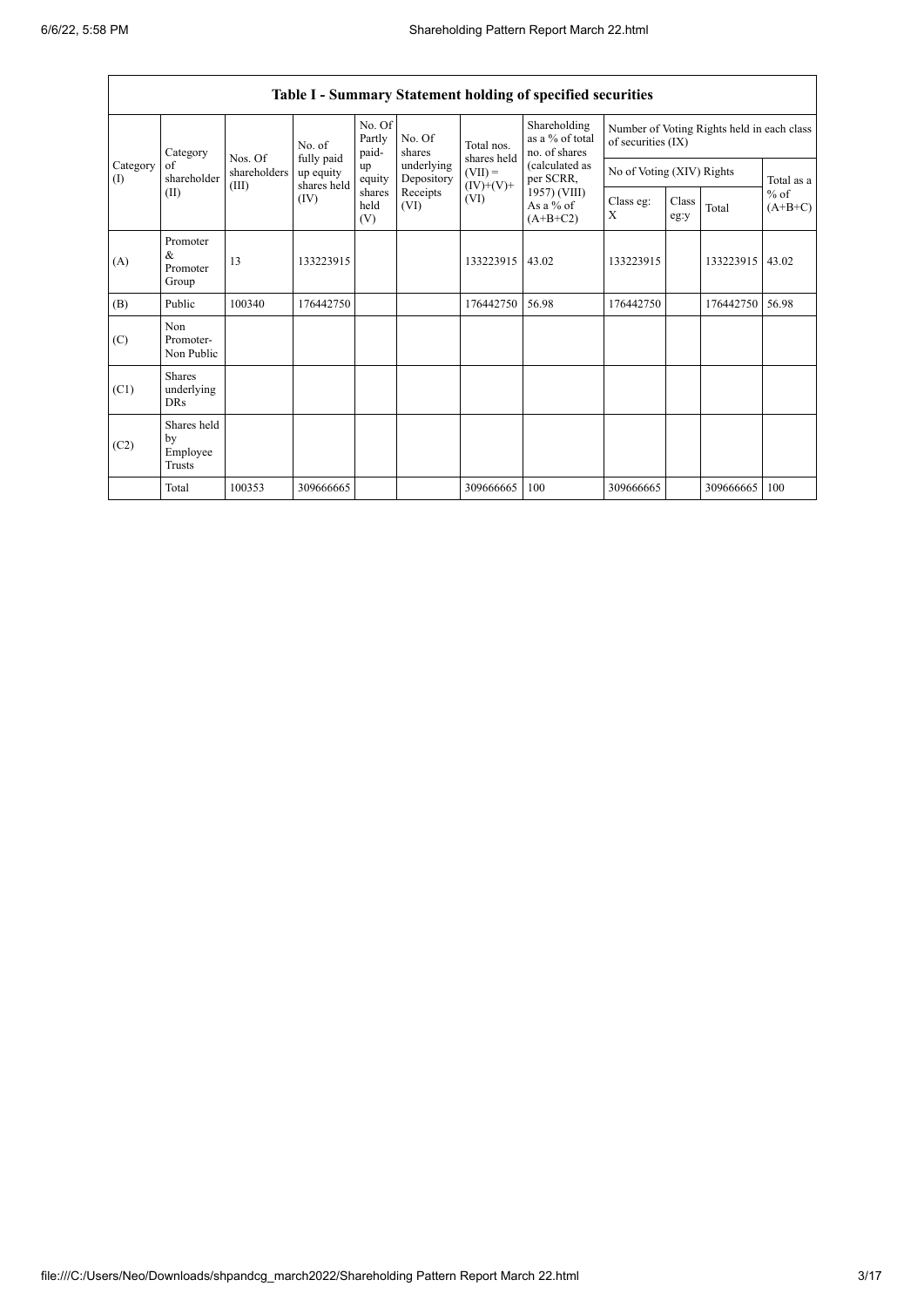$\mathbf{r}$ 

|                 | Table I - Summary Statement holding of specified securities |                                                                                 |           |                           |                          |                                                               |                                                                                                                            |                                                                  |               |           |                     |  |
|-----------------|-------------------------------------------------------------|---------------------------------------------------------------------------------|-----------|---------------------------|--------------------------|---------------------------------------------------------------|----------------------------------------------------------------------------------------------------------------------------|------------------------------------------------------------------|---------------|-----------|---------------------|--|
|                 | Category<br>of<br>shareholder<br>(II)                       | No. of<br>fully paid<br>Nos. Of<br>shareholders<br>shares held<br>(III)<br>(IV) |           | No. Of<br>Partly<br>paid- | No. Of<br>shares         | Total nos.<br>shares held<br>$(VII) =$<br>$(IV)+(V)+$<br>(VI) | Shareholding<br>as a % of total<br>no. of shares<br>(calculated as<br>per SCRR,<br>1957) (VIII)<br>As a % of<br>$(A+B+C2)$ | Number of Voting Rights held in each class<br>of securities (IX) |               |           |                     |  |
| Category<br>(1) |                                                             |                                                                                 | up equity | up<br>equity              | underlying<br>Depository |                                                               |                                                                                                                            | No of Voting (XIV) Rights                                        |               |           | Total as a          |  |
|                 |                                                             |                                                                                 |           | shares<br>held<br>(V)     | Receipts<br>(VI)         |                                                               |                                                                                                                            | Class eg:<br>X                                                   | Class<br>eg:y | Total     | $%$ of<br>$(A+B+C)$ |  |
| (A)             | Promoter<br>$\&$<br>Promoter<br>Group                       | 13                                                                              | 133223915 |                           |                          | 133223915                                                     | 43.02                                                                                                                      | 133223915                                                        |               | 133223915 | 43.02               |  |
| (B)             | Public                                                      | 100340                                                                          | 176442750 |                           |                          | 176442750                                                     | 56.98                                                                                                                      | 176442750                                                        |               | 176442750 | 56.98               |  |
| (C)             | Non<br>Promoter-<br>Non Public                              |                                                                                 |           |                           |                          |                                                               |                                                                                                                            |                                                                  |               |           |                     |  |
| (C1)            | <b>Shares</b><br>underlying<br><b>DRs</b>                   |                                                                                 |           |                           |                          |                                                               |                                                                                                                            |                                                                  |               |           |                     |  |
| (C2)            | Shares held<br>by<br>Employee<br>Trusts                     |                                                                                 |           |                           |                          |                                                               |                                                                                                                            |                                                                  |               |           |                     |  |
|                 | Total                                                       | 100353                                                                          | 309666665 |                           |                          | 309666665                                                     | 100                                                                                                                        | 309666665                                                        |               | 309666665 | 100                 |  |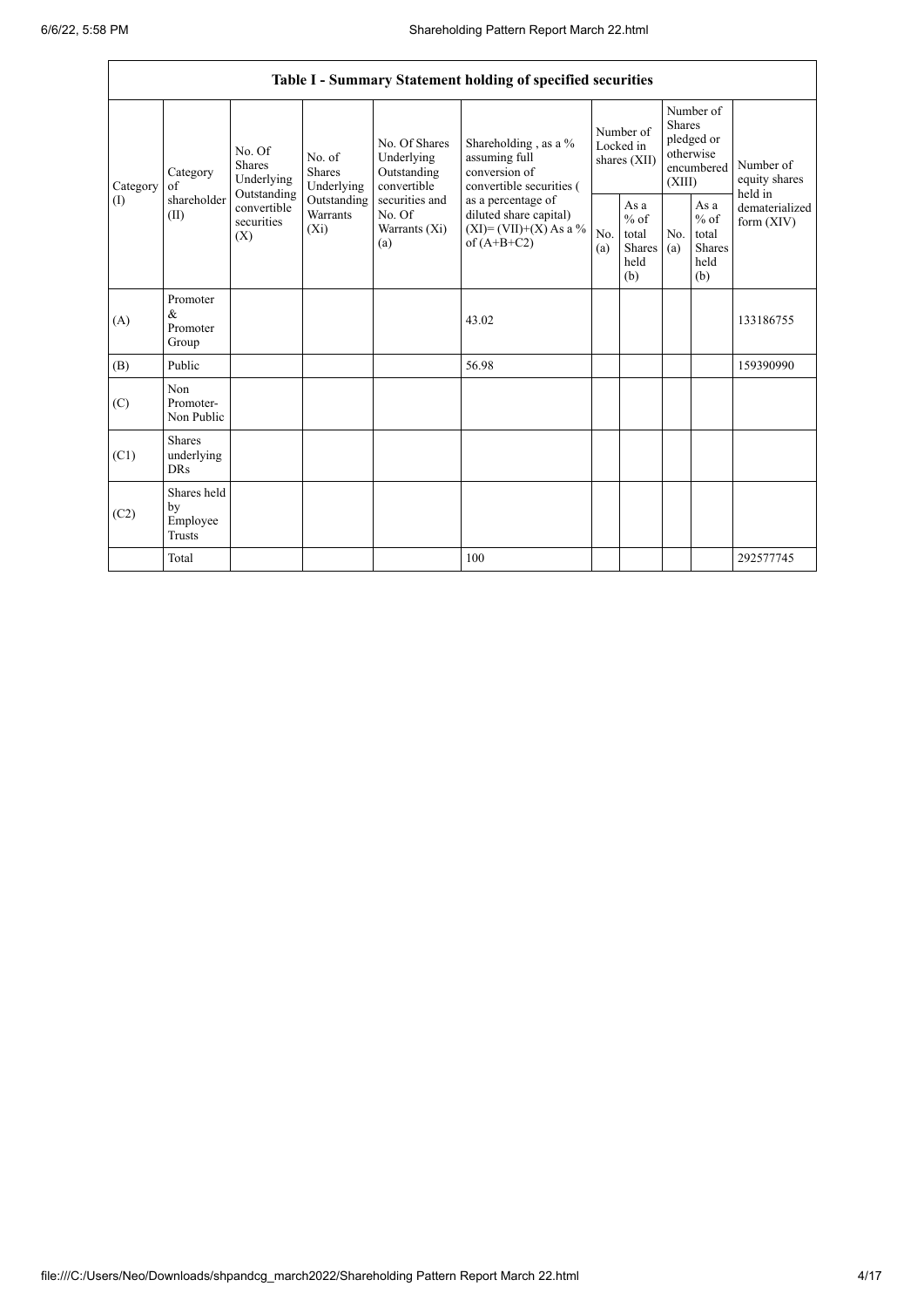|                 | Table I - Summary Statement holding of specified securities                                                                       |                                       |                                                                                                               |                                                                                                                                                                                  |                                        |                                                  |                                                                               |                                                                    |                                       |           |
|-----------------|-----------------------------------------------------------------------------------------------------------------------------------|---------------------------------------|---------------------------------------------------------------------------------------------------------------|----------------------------------------------------------------------------------------------------------------------------------------------------------------------------------|----------------------------------------|--------------------------------------------------|-------------------------------------------------------------------------------|--------------------------------------------------------------------|---------------------------------------|-----------|
| Category<br>(1) | No. Of<br><b>Shares</b><br>Category<br>Underlying<br>of<br>Outstanding<br>shareholder<br>convertible<br>(II)<br>securities<br>(X) | No. of<br><b>Shares</b><br>Underlying | No. Of Shares<br>Underlying<br>Outstanding<br>convertible<br>securities and<br>No. Of<br>Warrants (Xi)<br>(a) | Shareholding, as a %<br>assuming full<br>conversion of<br>convertible securities (<br>as a percentage of<br>diluted share capital)<br>$(XI) = (VII)+(X) As a %$<br>of $(A+B+C2)$ | Number of<br>Locked in<br>shares (XII) |                                                  | Number of<br><b>Shares</b><br>pledged or<br>otherwise<br>encumbered<br>(XIII) |                                                                    | Number of<br>equity shares<br>held in |           |
|                 |                                                                                                                                   | Outstanding<br>Warrants<br>$(X_i)$    |                                                                                                               |                                                                                                                                                                                  | No.<br>(a)                             | As a<br>$%$ of<br>total<br>Shares<br>held<br>(b) | No.<br>(a)                                                                    | As $\mathbf{a}$<br>$%$ of<br>total<br><b>Shares</b><br>held<br>(b) | dematerialized<br>form $(XIV)$        |           |
| (A)             | Promoter<br>$\&$<br>Promoter<br>Group                                                                                             |                                       |                                                                                                               |                                                                                                                                                                                  | 43.02                                  |                                                  |                                                                               |                                                                    |                                       | 133186755 |
| (B)             | Public                                                                                                                            |                                       |                                                                                                               |                                                                                                                                                                                  | 56.98                                  |                                                  |                                                                               |                                                                    |                                       | 159390990 |
| (C)             | Non<br>Promoter-<br>Non Public                                                                                                    |                                       |                                                                                                               |                                                                                                                                                                                  |                                        |                                                  |                                                                               |                                                                    |                                       |           |
| (C1)            | <b>Shares</b><br>underlying<br><b>DRs</b>                                                                                         |                                       |                                                                                                               |                                                                                                                                                                                  |                                        |                                                  |                                                                               |                                                                    |                                       |           |
| (C2)            | Shares held<br>by<br>Employee<br><b>Trusts</b>                                                                                    |                                       |                                                                                                               |                                                                                                                                                                                  |                                        |                                                  |                                                                               |                                                                    |                                       |           |
|                 | Total                                                                                                                             |                                       |                                                                                                               |                                                                                                                                                                                  | 100                                    |                                                  |                                                                               |                                                                    |                                       | 292577745 |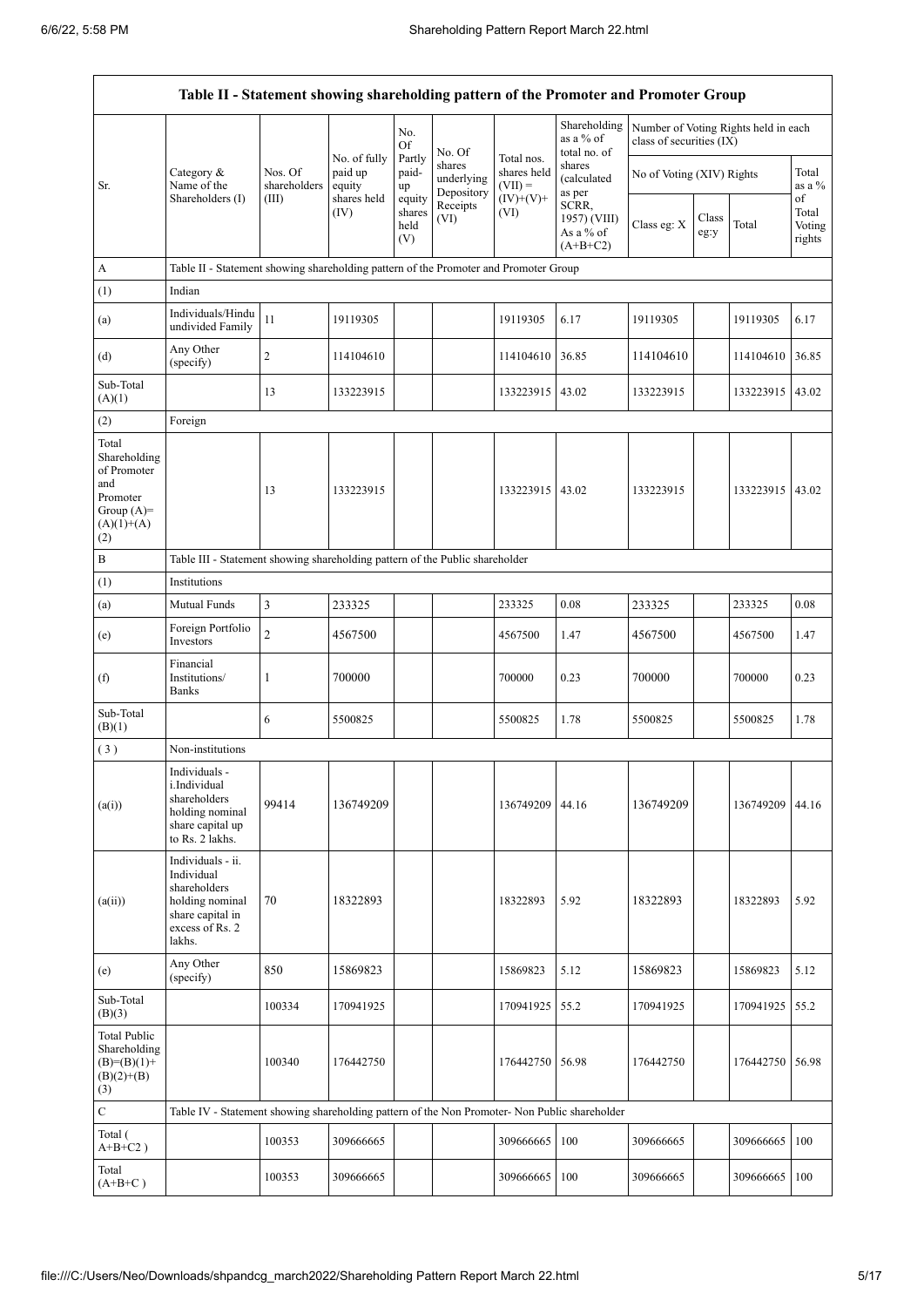$\blacksquare$ 

|                                                                                                | Table II - Statement showing shareholding pattern of the Promoter and Promoter Group                                |                                  |                                                  |                                 |                                    |                                                       |                                                  |                                                                  |               |                   |                           |
|------------------------------------------------------------------------------------------------|---------------------------------------------------------------------------------------------------------------------|----------------------------------|--------------------------------------------------|---------------------------------|------------------------------------|-------------------------------------------------------|--------------------------------------------------|------------------------------------------------------------------|---------------|-------------------|---------------------------|
|                                                                                                |                                                                                                                     |                                  |                                                  | No.<br>Of                       | No. Of                             |                                                       | Shareholding<br>as a % of<br>total no. of        | Number of Voting Rights held in each<br>class of securities (IX) |               |                   |                           |
| Sr.                                                                                            | Category &<br>Name of the<br>Shareholders (I)                                                                       | Nos. Of<br>shareholders<br>(III) | No. of fully<br>paid up<br>equity<br>shares held | Partly<br>paid-<br>up<br>equity | shares<br>underlying<br>Depository | Total nos.<br>shares held<br>$(VII) =$<br>$(IV)+(V)+$ | shares<br>(calculated<br>as per                  | No of Voting (XIV) Rights                                        |               |                   | Total<br>as a $%$<br>of   |
|                                                                                                |                                                                                                                     |                                  | (IV)                                             | shares<br>held<br>(V)           | Receipts<br>(VI)                   | (VI)                                                  | SCRR,<br>1957) (VIII)<br>As a % of<br>$(A+B+C2)$ | Class eg: X                                                      | Class<br>eg:y | Total             | Total<br>Voting<br>rights |
| $\boldsymbol{\mathsf{A}}$                                                                      | Table II - Statement showing shareholding pattern of the Promoter and Promoter Group                                |                                  |                                                  |                                 |                                    |                                                       |                                                  |                                                                  |               |                   |                           |
| (1)                                                                                            | Indian                                                                                                              |                                  |                                                  |                                 |                                    |                                                       |                                                  |                                                                  |               |                   |                           |
| (a)                                                                                            | Individuals/Hindu<br>undivided Family                                                                               | 11                               | 19119305                                         |                                 |                                    | 19119305                                              | 6.17                                             | 19119305                                                         |               | 19119305          | 6.17                      |
| (d)                                                                                            | Any Other<br>(specify)                                                                                              | $\sqrt{2}$                       | 114104610                                        |                                 |                                    | 114104610                                             | 36.85                                            | 114104610                                                        |               | 114104610         | 36.85                     |
| Sub-Total<br>(A)(1)                                                                            |                                                                                                                     | 13                               | 133223915                                        |                                 |                                    | 133223915 43.02                                       |                                                  | 133223915                                                        |               | 133223915 43.02   |                           |
| (2)                                                                                            | Foreign                                                                                                             |                                  |                                                  |                                 |                                    |                                                       |                                                  |                                                                  |               |                   |                           |
| Total<br>Shareholding<br>of Promoter<br>and<br>Promoter<br>Group $(A)=$<br>$(A)(1)+(A)$<br>(2) |                                                                                                                     | 13                               | 133223915                                        |                                 |                                    | 133223915   43.02                                     |                                                  | 133223915                                                        |               | 133223915   43.02 |                           |
| B                                                                                              | Table III - Statement showing shareholding pattern of the Public shareholder                                        |                                  |                                                  |                                 |                                    |                                                       |                                                  |                                                                  |               |                   |                           |
| (1)                                                                                            | Institutions                                                                                                        |                                  |                                                  |                                 |                                    |                                                       |                                                  |                                                                  |               |                   |                           |
| (a)                                                                                            | Mutual Funds                                                                                                        | $\mathfrak{Z}$                   | 233325                                           |                                 |                                    | 233325                                                | 0.08                                             | 233325                                                           |               | 233325            | 0.08                      |
| (e)                                                                                            | Foreign Portfolio<br>Investors                                                                                      | $\overline{c}$                   | 4567500                                          |                                 |                                    | 4567500                                               | 1.47                                             | 4567500                                                          |               | 4567500           | 1.47                      |
| (f)                                                                                            | Financial<br>Institutions/<br><b>Banks</b>                                                                          | 1                                | 700000                                           |                                 |                                    | 700000                                                | 0.23                                             | 700000                                                           |               | 700000            | 0.23                      |
| Sub-Total<br>(B)(1)                                                                            |                                                                                                                     | 6                                | 5500825                                          |                                 |                                    | 5500825                                               | 1.78                                             | 5500825                                                          |               | 5500825           | 1.78                      |
| (3)                                                                                            | Non-institutions                                                                                                    |                                  |                                                  |                                 |                                    |                                                       |                                                  |                                                                  |               |                   |                           |
| (a(i))                                                                                         | Individuals -<br>i.Individual<br>shareholders<br>holding nominal<br>share capital up<br>to Rs. 2 lakhs.             | 99414                            | 136749209                                        |                                 |                                    | 136749209                                             | 44.16                                            | 136749209                                                        |               | 136749209         | 44.16                     |
| (a(ii))                                                                                        | Individuals - ii.<br>Individual<br>shareholders<br>holding nominal<br>share capital in<br>excess of Rs. 2<br>lakhs. | 70                               | 18322893                                         |                                 |                                    | 18322893                                              | 5.92                                             | 18322893                                                         |               | 18322893          | 5.92                      |
| (e)                                                                                            | Any Other<br>(specify)                                                                                              | 850                              | 15869823                                         |                                 |                                    | 15869823                                              | 5.12                                             | 15869823                                                         |               | 15869823          | 5.12                      |
| Sub-Total<br>(B)(3)                                                                            |                                                                                                                     | 100334                           | 170941925                                        |                                 |                                    | 170941925                                             | 55.2                                             | 170941925                                                        |               | 170941925         | 55.2                      |
| <b>Total Public</b><br>Shareholding<br>$(B)=(B)(1)+$<br>$(B)(2)+(B)$<br>(3)                    |                                                                                                                     | 100340                           | 176442750                                        |                                 |                                    | 176442750                                             | 56.98                                            | 176442750                                                        |               | 176442750 56.98   |                           |
| $\mathbf C$                                                                                    | Table IV - Statement showing shareholding pattern of the Non Promoter- Non Public shareholder                       |                                  |                                                  |                                 |                                    |                                                       |                                                  |                                                                  |               |                   |                           |
| Total (<br>$A+B+C2$ )                                                                          |                                                                                                                     | 100353                           | 309666665                                        |                                 |                                    | 309666665                                             | 100                                              | 309666665                                                        |               | 309666665         | 100                       |
| Total<br>$(A+B+C)$                                                                             |                                                                                                                     | 100353                           | 309666665                                        |                                 |                                    | 309666665                                             | 100                                              | 309666665                                                        |               | 309666665         | 100                       |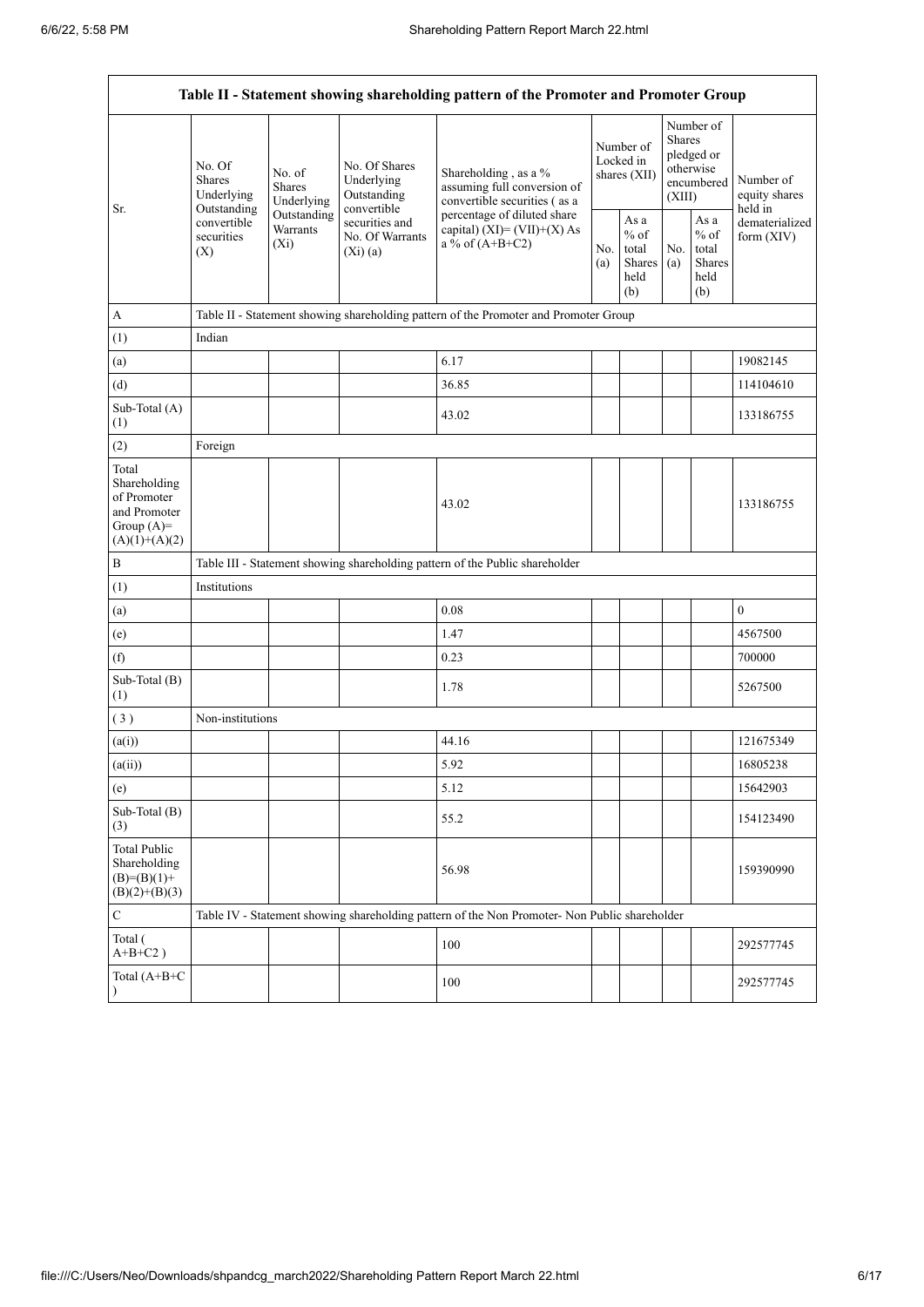$\mathbf{r}$ 

|                                                                                         | Table II - Statement showing shareholding pattern of the Promoter and Promoter Group                                                |             |                                                           |                                                                                                                    |                                        |                                                         |                                                                               |                                                  |                                       |  |
|-----------------------------------------------------------------------------------------|-------------------------------------------------------------------------------------------------------------------------------------|-------------|-----------------------------------------------------------|--------------------------------------------------------------------------------------------------------------------|----------------------------------------|---------------------------------------------------------|-------------------------------------------------------------------------------|--------------------------------------------------|---------------------------------------|--|
| Sr.                                                                                     | No. Of<br>No. of<br><b>Shares</b><br>Shares<br>Underlying<br>Outstanding<br>convertible<br>Warrants<br>securities<br>$(X_i)$<br>(X) | Underlying  | No. Of Shares<br>Underlying<br>Outstanding<br>convertible | Shareholding, as a %<br>assuming full conversion of<br>convertible securities (as a<br>percentage of diluted share | Number of<br>Locked in<br>shares (XII) |                                                         | Number of<br><b>Shares</b><br>pledged or<br>otherwise<br>encumbered<br>(XIII) |                                                  | Number of<br>equity shares<br>held in |  |
|                                                                                         |                                                                                                                                     | Outstanding | securities and<br>No. Of Warrants<br>(Xi)(a)              | capital) $(XI) = (VII)+(X) As$<br>a % of $(A+B+C2)$                                                                |                                        | As a<br>$%$ of<br>total<br><b>Shares</b><br>held<br>(b) | No.<br>(a)                                                                    | As a<br>$%$ of<br>total<br>Shares<br>held<br>(b) | dematerialized<br>form $(XIV)$        |  |
| A                                                                                       |                                                                                                                                     |             |                                                           | Table II - Statement showing shareholding pattern of the Promoter and Promoter Group                               |                                        |                                                         |                                                                               |                                                  |                                       |  |
| (1)                                                                                     | Indian                                                                                                                              |             |                                                           |                                                                                                                    |                                        |                                                         |                                                                               |                                                  |                                       |  |
| (a)                                                                                     |                                                                                                                                     |             |                                                           | 6.17                                                                                                               |                                        |                                                         |                                                                               |                                                  | 19082145                              |  |
| (d)                                                                                     |                                                                                                                                     |             |                                                           | 36.85                                                                                                              |                                        |                                                         |                                                                               |                                                  | 114104610                             |  |
| Sub-Total (A)<br>(1)                                                                    |                                                                                                                                     |             |                                                           | 43.02                                                                                                              |                                        |                                                         |                                                                               |                                                  | 133186755                             |  |
| (2)                                                                                     | Foreign                                                                                                                             |             |                                                           |                                                                                                                    |                                        |                                                         |                                                                               |                                                  |                                       |  |
| Total<br>Shareholding<br>of Promoter<br>and Promoter<br>Group $(A)=$<br>$(A)(1)+(A)(2)$ |                                                                                                                                     |             |                                                           | 43.02                                                                                                              |                                        |                                                         |                                                                               |                                                  | 133186755                             |  |
| $\, {\bf B}$                                                                            |                                                                                                                                     |             |                                                           | Table III - Statement showing shareholding pattern of the Public shareholder                                       |                                        |                                                         |                                                                               |                                                  |                                       |  |
| (1)                                                                                     | Institutions                                                                                                                        |             |                                                           |                                                                                                                    |                                        |                                                         |                                                                               |                                                  |                                       |  |
| (a)                                                                                     |                                                                                                                                     |             |                                                           | 0.08                                                                                                               |                                        |                                                         |                                                                               |                                                  | $\mathbf{0}$                          |  |
| (e)                                                                                     |                                                                                                                                     |             |                                                           | 1.47                                                                                                               |                                        |                                                         |                                                                               |                                                  | 4567500                               |  |
| (f)                                                                                     |                                                                                                                                     |             |                                                           | 0.23                                                                                                               |                                        |                                                         |                                                                               |                                                  | 700000                                |  |
| Sub-Total (B)<br>(1)                                                                    |                                                                                                                                     |             |                                                           | 1.78                                                                                                               |                                        |                                                         |                                                                               |                                                  | 5267500                               |  |
| (3)                                                                                     | Non-institutions                                                                                                                    |             |                                                           |                                                                                                                    |                                        |                                                         |                                                                               |                                                  |                                       |  |
| (a(i))                                                                                  |                                                                                                                                     |             |                                                           | 44.16                                                                                                              |                                        |                                                         |                                                                               |                                                  | 121675349                             |  |
| (a(ii))                                                                                 |                                                                                                                                     |             |                                                           | 5.92                                                                                                               |                                        |                                                         |                                                                               |                                                  | 16805238                              |  |
| (e)                                                                                     |                                                                                                                                     |             |                                                           | 5.12                                                                                                               |                                        |                                                         |                                                                               |                                                  | 15642903                              |  |
| Sub-Total (B)<br>(3)                                                                    |                                                                                                                                     |             |                                                           | 55.2                                                                                                               |                                        |                                                         |                                                                               |                                                  | 154123490                             |  |
| <b>Total Public</b><br>Shareholding<br>$(B)= (B)(1) +$<br>$(B)(2)+(B)(3)$               |                                                                                                                                     |             |                                                           | 56.98                                                                                                              |                                        |                                                         |                                                                               |                                                  | 159390990                             |  |
| $\mathbf C$                                                                             |                                                                                                                                     |             |                                                           | Table IV - Statement showing shareholding pattern of the Non Promoter- Non Public shareholder                      |                                        |                                                         |                                                                               |                                                  |                                       |  |
| Total (<br>$A+B+C2$ )                                                                   |                                                                                                                                     |             |                                                           | 100                                                                                                                |                                        |                                                         |                                                                               |                                                  | 292577745                             |  |
| Total (A+B+C<br>$\lambda$                                                               |                                                                                                                                     |             |                                                           | 100                                                                                                                |                                        |                                                         |                                                                               |                                                  | 292577745                             |  |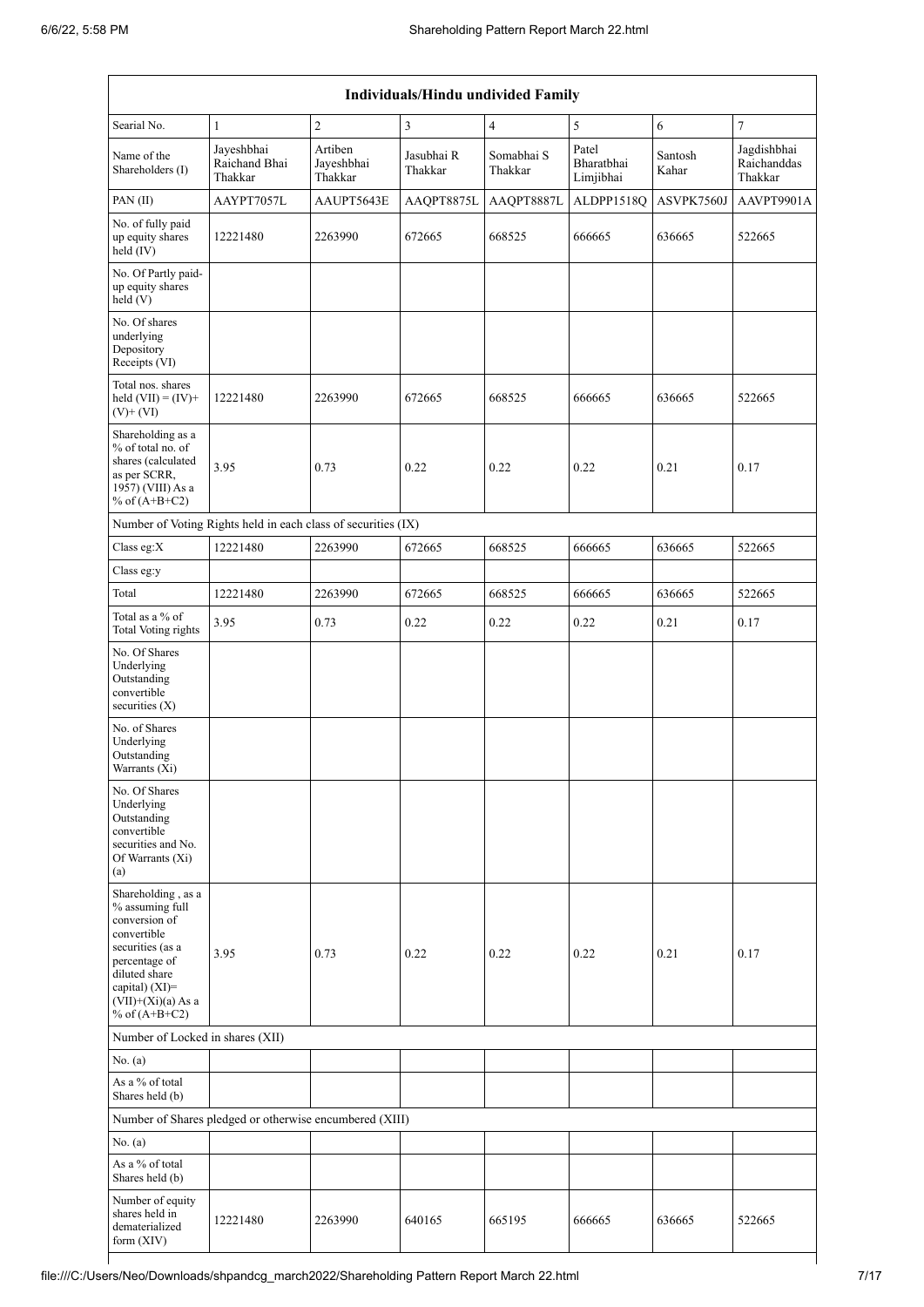|                                                                                                                                                                                          | Individuals/Hindu undivided Family                            |                                  |                       |                       |                                  |                  |                                       |  |  |  |
|------------------------------------------------------------------------------------------------------------------------------------------------------------------------------------------|---------------------------------------------------------------|----------------------------------|-----------------------|-----------------------|----------------------------------|------------------|---------------------------------------|--|--|--|
| Searial No.                                                                                                                                                                              | $\mathbf{1}$                                                  | $\overline{c}$                   | $\mathfrak{Z}$        | $\overline{4}$        | 5                                | 6                | 7                                     |  |  |  |
| Name of the<br>Shareholders (I)                                                                                                                                                          | Jayeshbhai<br>Raichand Bhai<br>Thakkar                        | Artiben<br>Jayeshbhai<br>Thakkar | Jasubhai R<br>Thakkar | Somabhai S<br>Thakkar | Patel<br>Bharatbhai<br>Limjibhai | Santosh<br>Kahar | Jagdishbhai<br>Raichanddas<br>Thakkar |  |  |  |
| PAN(II)                                                                                                                                                                                  | AAYPT7057L                                                    | AAUPT5643E                       | AAQPT8875L            | AAQPT8887L            | ALDPP1518Q                       | ASVPK7560J       | AAVPT9901A                            |  |  |  |
| No. of fully paid<br>up equity shares<br>held (IV)                                                                                                                                       | 12221480                                                      | 2263990                          | 672665                | 668525                | 666665                           | 636665           | 522665                                |  |  |  |
| No. Of Partly paid-<br>up equity shares<br>held(V)                                                                                                                                       |                                                               |                                  |                       |                       |                                  |                  |                                       |  |  |  |
| No. Of shares<br>underlying<br>Depository<br>Receipts (VI)                                                                                                                               |                                                               |                                  |                       |                       |                                  |                  |                                       |  |  |  |
| Total nos. shares<br>held $(VII) = (IV) +$<br>$(V)$ + $(VI)$                                                                                                                             | 12221480                                                      | 2263990                          | 672665                | 668525                | 666665                           | 636665           | 522665                                |  |  |  |
| Shareholding as a<br>% of total no. of<br>shares (calculated<br>as per SCRR,<br>1957) (VIII) As a<br>% of $(A+B+C2)$                                                                     | 3.95                                                          | 0.73                             | 0.22                  | 0.22                  | 0.22                             | 0.21             | 0.17                                  |  |  |  |
|                                                                                                                                                                                          | Number of Voting Rights held in each class of securities (IX) |                                  |                       |                       |                                  |                  |                                       |  |  |  |
| Class eg:X                                                                                                                                                                               | 12221480                                                      | 2263990                          | 672665                | 668525                | 666665                           | 636665           | 522665                                |  |  |  |
| Class eg:y                                                                                                                                                                               |                                                               |                                  |                       |                       |                                  |                  |                                       |  |  |  |
| Total                                                                                                                                                                                    | 12221480                                                      | 2263990                          | 672665                | 668525                | 666665                           | 636665           | 522665                                |  |  |  |
| Total as a % of<br><b>Total Voting rights</b>                                                                                                                                            | 3.95                                                          | 0.73                             | 0.22                  | 0.22                  | 0.22                             | 0.21             | 0.17                                  |  |  |  |
| No. Of Shares<br>Underlying<br>Outstanding<br>convertible<br>securities (X)                                                                                                              |                                                               |                                  |                       |                       |                                  |                  |                                       |  |  |  |
| No. of Shares<br>Underlying<br>Outstanding<br>Warrants $(Xi)$                                                                                                                            |                                                               |                                  |                       |                       |                                  |                  |                                       |  |  |  |
| No. Of Shares<br>Underlying<br>Outstanding<br>convertible<br>securities and No.<br>Of Warrants (Xi)<br>(a)                                                                               |                                                               |                                  |                       |                       |                                  |                  |                                       |  |  |  |
| Shareholding, as a<br>% assuming full<br>conversion of<br>convertible<br>securities (as a<br>percentage of<br>diluted share<br>capital) (XI)=<br>$(VII)+(Xi)(a)$ As a<br>% of $(A+B+C2)$ | 3.95                                                          | 0.73                             | 0.22                  | 0.22                  | 0.22                             | 0.21             | 0.17                                  |  |  |  |
| Number of Locked in shares (XII)                                                                                                                                                         |                                                               |                                  |                       |                       |                                  |                  |                                       |  |  |  |
| No. (a)                                                                                                                                                                                  |                                                               |                                  |                       |                       |                                  |                  |                                       |  |  |  |
| As a % of total<br>Shares held (b)                                                                                                                                                       |                                                               |                                  |                       |                       |                                  |                  |                                       |  |  |  |
|                                                                                                                                                                                          | Number of Shares pledged or otherwise encumbered (XIII)       |                                  |                       |                       |                                  |                  |                                       |  |  |  |
| No. (a)                                                                                                                                                                                  |                                                               |                                  |                       |                       |                                  |                  |                                       |  |  |  |
| As a % of total<br>Shares held (b)                                                                                                                                                       |                                                               |                                  |                       |                       |                                  |                  |                                       |  |  |  |
| Number of equity<br>shares held in<br>dematerialized<br>form $(XIV)$                                                                                                                     | 12221480                                                      | 2263990                          | 640165                | 665195                | 666665                           | 636665           | 522665                                |  |  |  |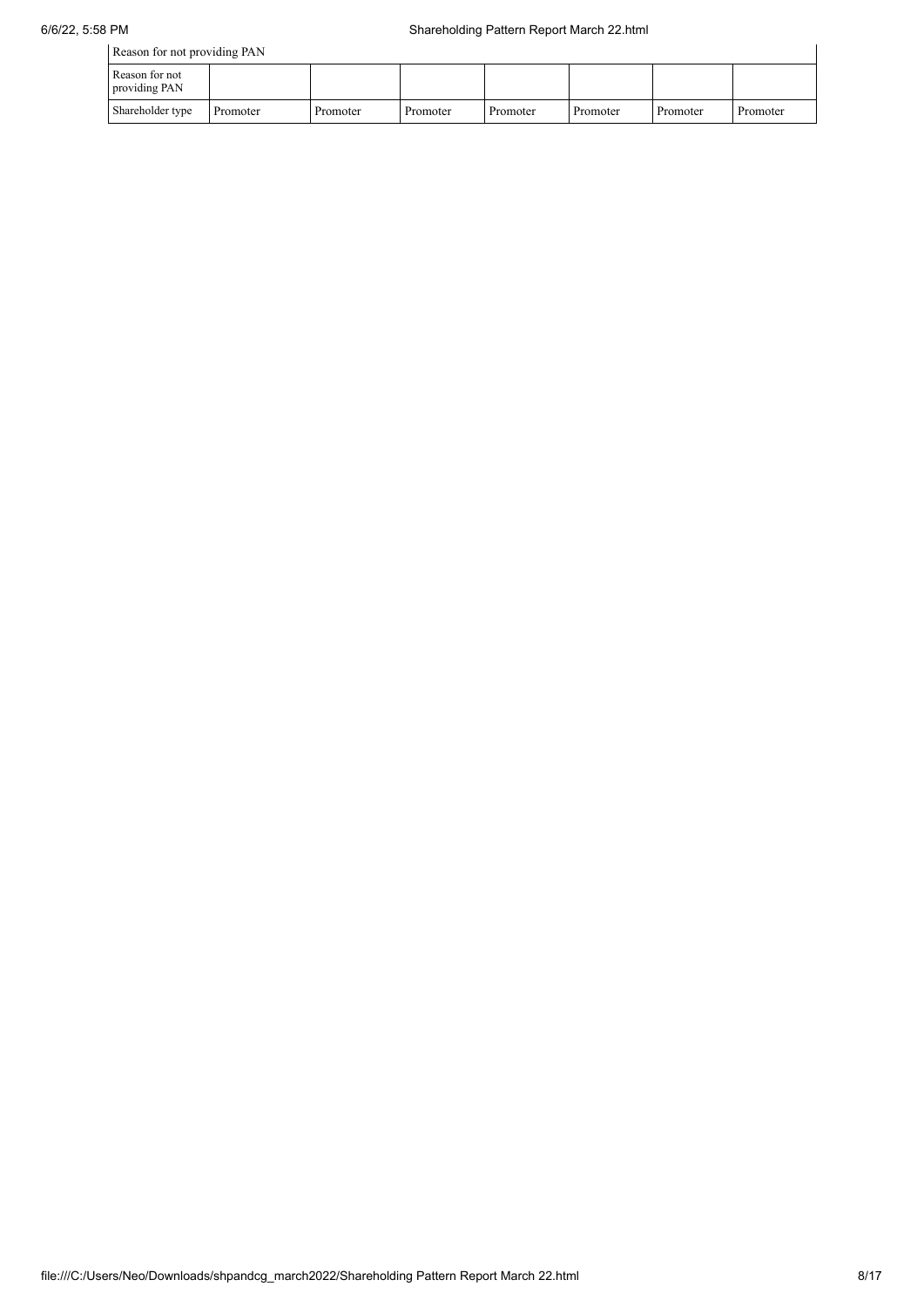| Reason for not providing PAN    |          |          |          |          |          |          |          |  |
|---------------------------------|----------|----------|----------|----------|----------|----------|----------|--|
| Reason for not<br>providing PAN |          |          |          |          |          |          |          |  |
| Shareholder type                | Promoter | Promoter | Promoter | Promoter | Promoter | Promoter | Promoter |  |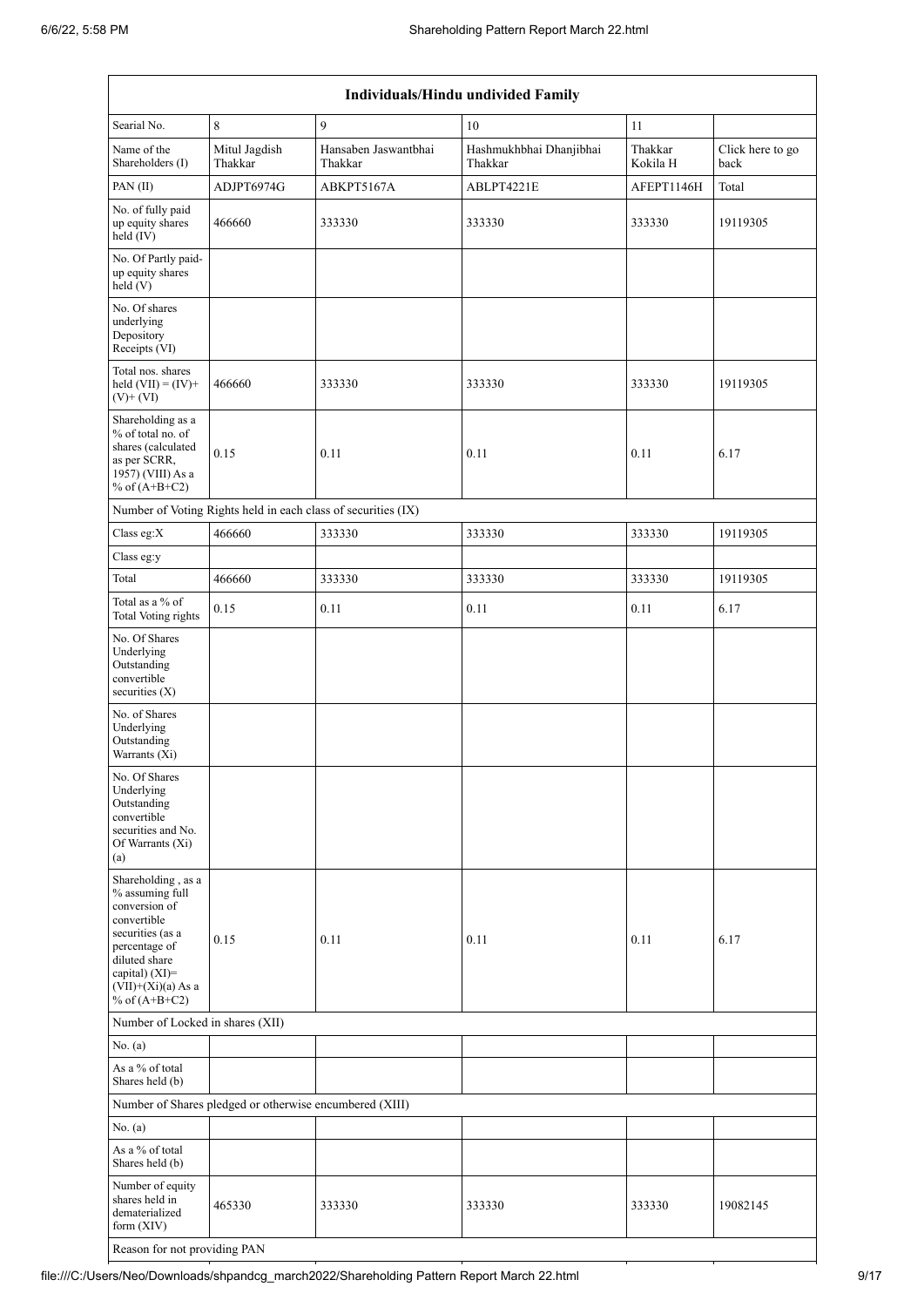|                                                                                                                                                                                             | Individuals/Hindu undivided Family                            |                                 |                                    |                     |                          |  |  |  |  |  |
|---------------------------------------------------------------------------------------------------------------------------------------------------------------------------------------------|---------------------------------------------------------------|---------------------------------|------------------------------------|---------------------|--------------------------|--|--|--|--|--|
| Searial No.                                                                                                                                                                                 | $\,8\,$                                                       | 9                               | 10                                 | 11                  |                          |  |  |  |  |  |
| Name of the<br>Shareholders (I)                                                                                                                                                             | Mitul Jagdish<br>Thakkar                                      | Hansaben Jaswantbhai<br>Thakkar | Hashmukhbhai Dhanjibhai<br>Thakkar | Thakkar<br>Kokila H | Click here to go<br>back |  |  |  |  |  |
| PAN(II)                                                                                                                                                                                     | ADJPT6974G                                                    | ABKPT5167A                      | ABLPT4221E                         | AFEPT1146H          | Total                    |  |  |  |  |  |
| No. of fully paid<br>up equity shares<br>held (IV)                                                                                                                                          | 466660                                                        | 333330                          | 333330                             | 333330              | 19119305                 |  |  |  |  |  |
| No. Of Partly paid-<br>up equity shares<br>held (V)                                                                                                                                         |                                                               |                                 |                                    |                     |                          |  |  |  |  |  |
| No. Of shares<br>underlying<br>Depository<br>Receipts (VI)                                                                                                                                  |                                                               |                                 |                                    |                     |                          |  |  |  |  |  |
| Total nos. shares<br>held $(VII) = (IV) +$<br>$(V)$ + $(VI)$                                                                                                                                | 466660                                                        | 333330                          | 333330                             | 333330              | 19119305                 |  |  |  |  |  |
| Shareholding as a<br>% of total no. of<br>shares (calculated<br>as per SCRR,<br>1957) (VIII) As a<br>% of $(A+B+C2)$                                                                        | 0.15                                                          | 0.11                            | 0.11                               | 0.11                | 6.17                     |  |  |  |  |  |
|                                                                                                                                                                                             | Number of Voting Rights held in each class of securities (IX) |                                 |                                    |                     |                          |  |  |  |  |  |
| Class eg:X                                                                                                                                                                                  | 466660                                                        | 333330                          | 333330                             | 333330              | 19119305                 |  |  |  |  |  |
| Class eg:y                                                                                                                                                                                  |                                                               |                                 |                                    |                     |                          |  |  |  |  |  |
| Total                                                                                                                                                                                       | 466660                                                        | 333330                          | 333330                             | 333330              | 19119305                 |  |  |  |  |  |
| Total as a % of<br><b>Total Voting rights</b>                                                                                                                                               | 0.15                                                          | 0.11                            | 0.11                               | 0.11                | 6.17                     |  |  |  |  |  |
| No. Of Shares<br>Underlying<br>Outstanding<br>convertible<br>securities (X)                                                                                                                 |                                                               |                                 |                                    |                     |                          |  |  |  |  |  |
| No. of Shares<br>Underlying<br>Outstanding<br>Warrants (Xi)                                                                                                                                 |                                                               |                                 |                                    |                     |                          |  |  |  |  |  |
| No. Of Shares<br>Underlying<br>Outstanding<br>convertible<br>securities and No.<br>Of Warrants (Xi)<br>(a)                                                                                  |                                                               |                                 |                                    |                     |                          |  |  |  |  |  |
| Shareholding, as a<br>% assuming full<br>conversion of<br>convertible<br>securities (as a<br>percentage of<br>diluted share<br>capital) $(XI)$ =<br>$(VII)+(Xi)(a)$ As a<br>% of $(A+B+C2)$ | 0.15                                                          | 0.11                            | 0.11                               | 0.11                | 6.17                     |  |  |  |  |  |
| Number of Locked in shares (XII)                                                                                                                                                            |                                                               |                                 |                                    |                     |                          |  |  |  |  |  |
| No. (a)                                                                                                                                                                                     |                                                               |                                 |                                    |                     |                          |  |  |  |  |  |
| As a % of total<br>Shares held (b)                                                                                                                                                          |                                                               |                                 |                                    |                     |                          |  |  |  |  |  |
|                                                                                                                                                                                             | Number of Shares pledged or otherwise encumbered (XIII)       |                                 |                                    |                     |                          |  |  |  |  |  |
| No. (a)                                                                                                                                                                                     |                                                               |                                 |                                    |                     |                          |  |  |  |  |  |
| As a % of total<br>Shares held (b)                                                                                                                                                          |                                                               |                                 |                                    |                     |                          |  |  |  |  |  |
| Number of equity<br>shares held in<br>dematerialized<br>form (XIV)                                                                                                                          | 465330                                                        | 333330                          | 333330                             | 333330              | 19082145                 |  |  |  |  |  |

Reason for not providing PAN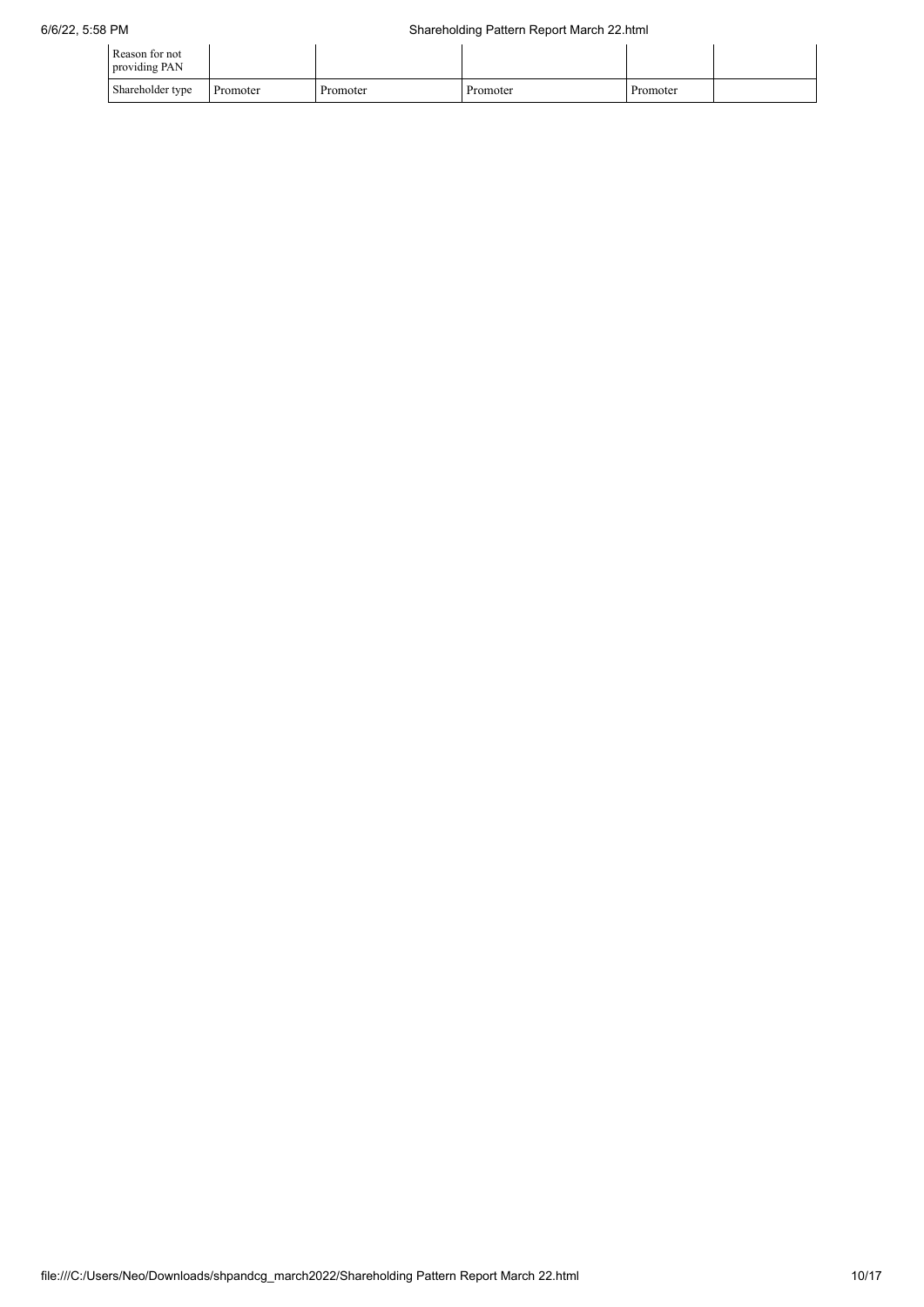| Reason for not<br>providing PAN |          |          |          |          |  |
|---------------------------------|----------|----------|----------|----------|--|
| Shareholder type                | Promoter | Promoter | Promoter | Promoter |  |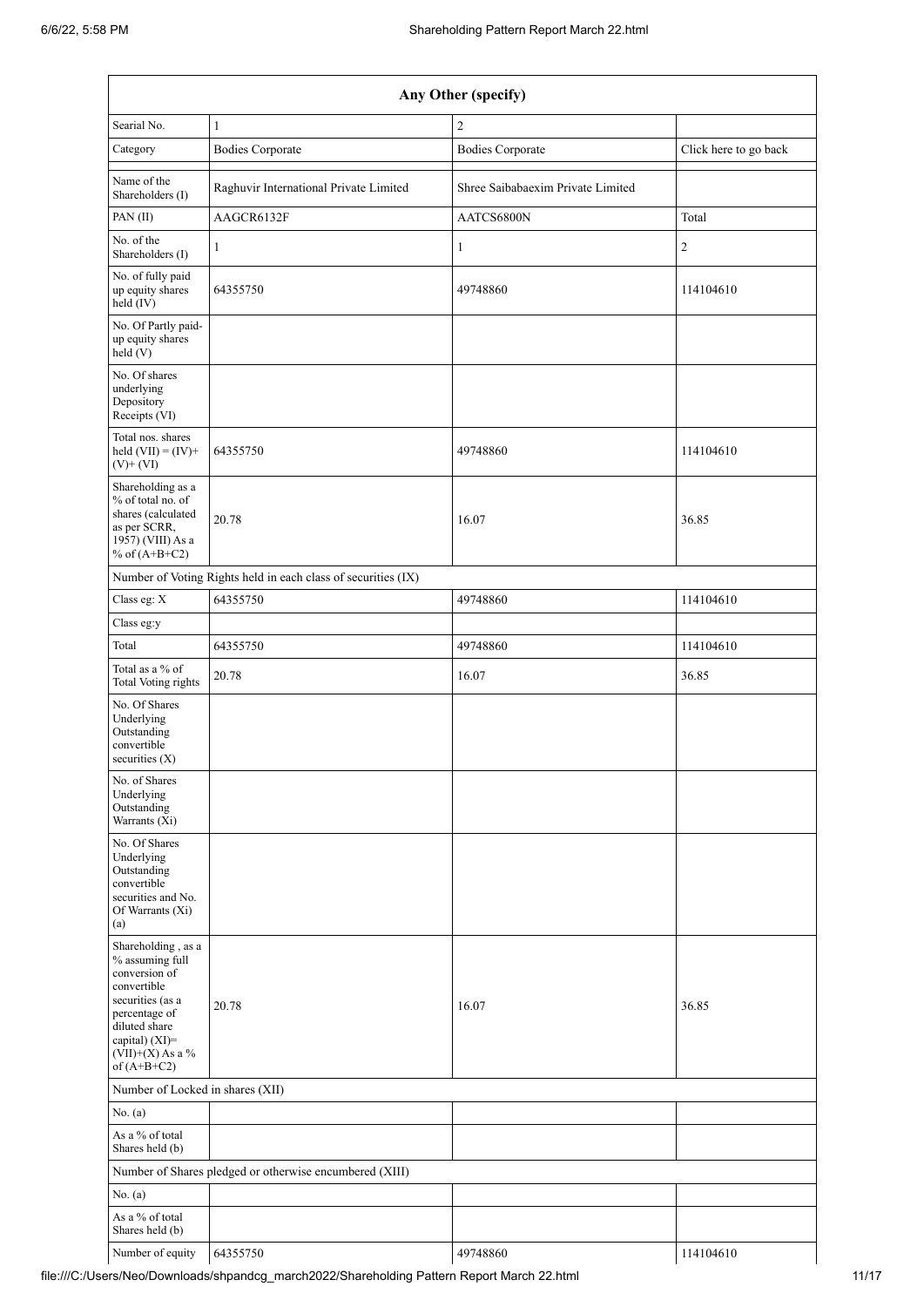|                                                                                                                                                                                      | Any Other (specify)                                           |                                   |                       |  |  |  |  |  |  |
|--------------------------------------------------------------------------------------------------------------------------------------------------------------------------------------|---------------------------------------------------------------|-----------------------------------|-----------------------|--|--|--|--|--|--|
| Searial No.                                                                                                                                                                          | $\mathbf{1}$                                                  | $\overline{c}$                    |                       |  |  |  |  |  |  |
| Category                                                                                                                                                                             | <b>Bodies Corporate</b>                                       | <b>Bodies Corporate</b>           | Click here to go back |  |  |  |  |  |  |
| Name of the<br>Shareholders (I)                                                                                                                                                      | Raghuvir International Private Limited                        | Shree Saibabaexim Private Limited |                       |  |  |  |  |  |  |
| PAN(II)                                                                                                                                                                              | AAGCR6132F                                                    | AATCS6800N                        | Total                 |  |  |  |  |  |  |
| No. of the<br>Shareholders (I)                                                                                                                                                       | $\mathbf{1}$                                                  | 1                                 | $\sqrt{2}$            |  |  |  |  |  |  |
| No. of fully paid<br>up equity shares<br>$\text{held}(\text{IV})$                                                                                                                    | 64355750                                                      | 49748860                          | 114104610             |  |  |  |  |  |  |
| No. Of Partly paid-<br>up equity shares<br>held (V)                                                                                                                                  |                                                               |                                   |                       |  |  |  |  |  |  |
| No. Of shares<br>underlying<br>Depository<br>Receipts (VI)                                                                                                                           |                                                               |                                   |                       |  |  |  |  |  |  |
| Total nos. shares<br>held $(VII) = (IV) +$<br>$(V)$ + $(VI)$                                                                                                                         | 64355750                                                      | 49748860                          | 114104610             |  |  |  |  |  |  |
| Shareholding as a<br>% of total no. of<br>shares (calculated<br>as per SCRR,<br>1957) (VIII) As a<br>% of $(A+B+C2)$                                                                 | 20.78                                                         | 16.07                             | 36.85                 |  |  |  |  |  |  |
|                                                                                                                                                                                      | Number of Voting Rights held in each class of securities (IX) |                                   |                       |  |  |  |  |  |  |
| Class eg: X                                                                                                                                                                          | 64355750                                                      | 49748860                          | 114104610             |  |  |  |  |  |  |
| Class eg:y                                                                                                                                                                           |                                                               |                                   |                       |  |  |  |  |  |  |
| Total                                                                                                                                                                                | 64355750                                                      | 49748860                          | 114104610             |  |  |  |  |  |  |
| Total as a % of<br>Total Voting rights                                                                                                                                               | 20.78                                                         | 16.07                             | 36.85                 |  |  |  |  |  |  |
| No. Of Shares<br>Underlying<br>Outstanding<br>convertible<br>securities $(X)$                                                                                                        |                                                               |                                   |                       |  |  |  |  |  |  |
| No. of Shares<br>Underlying<br>Outstanding<br>Warrants (Xi)                                                                                                                          |                                                               |                                   |                       |  |  |  |  |  |  |
| No. Of Shares<br>Underlying<br>Outstanding<br>convertible<br>securities and No.<br>Of Warrants (Xi)<br>(a)                                                                           |                                                               |                                   |                       |  |  |  |  |  |  |
| Shareholding, as a<br>% assuming full<br>conversion of<br>convertible<br>securities (as a<br>percentage of<br>diluted share<br>capital) (XI)=<br>$(VII)+(X)$ As a %<br>of $(A+B+C2)$ | 20.78                                                         | 16.07                             | 36.85                 |  |  |  |  |  |  |
| Number of Locked in shares (XII)                                                                                                                                                     |                                                               |                                   |                       |  |  |  |  |  |  |
| No. (a)                                                                                                                                                                              |                                                               |                                   |                       |  |  |  |  |  |  |
| As a % of total<br>Shares held (b)                                                                                                                                                   |                                                               |                                   |                       |  |  |  |  |  |  |
|                                                                                                                                                                                      | Number of Shares pledged or otherwise encumbered (XIII)       |                                   |                       |  |  |  |  |  |  |
| No. (a)                                                                                                                                                                              |                                                               |                                   |                       |  |  |  |  |  |  |
| As a % of total<br>Shares held (b)                                                                                                                                                   |                                                               |                                   |                       |  |  |  |  |  |  |
| Number of equity                                                                                                                                                                     | 64355750                                                      | 49748860                          | 114104610             |  |  |  |  |  |  |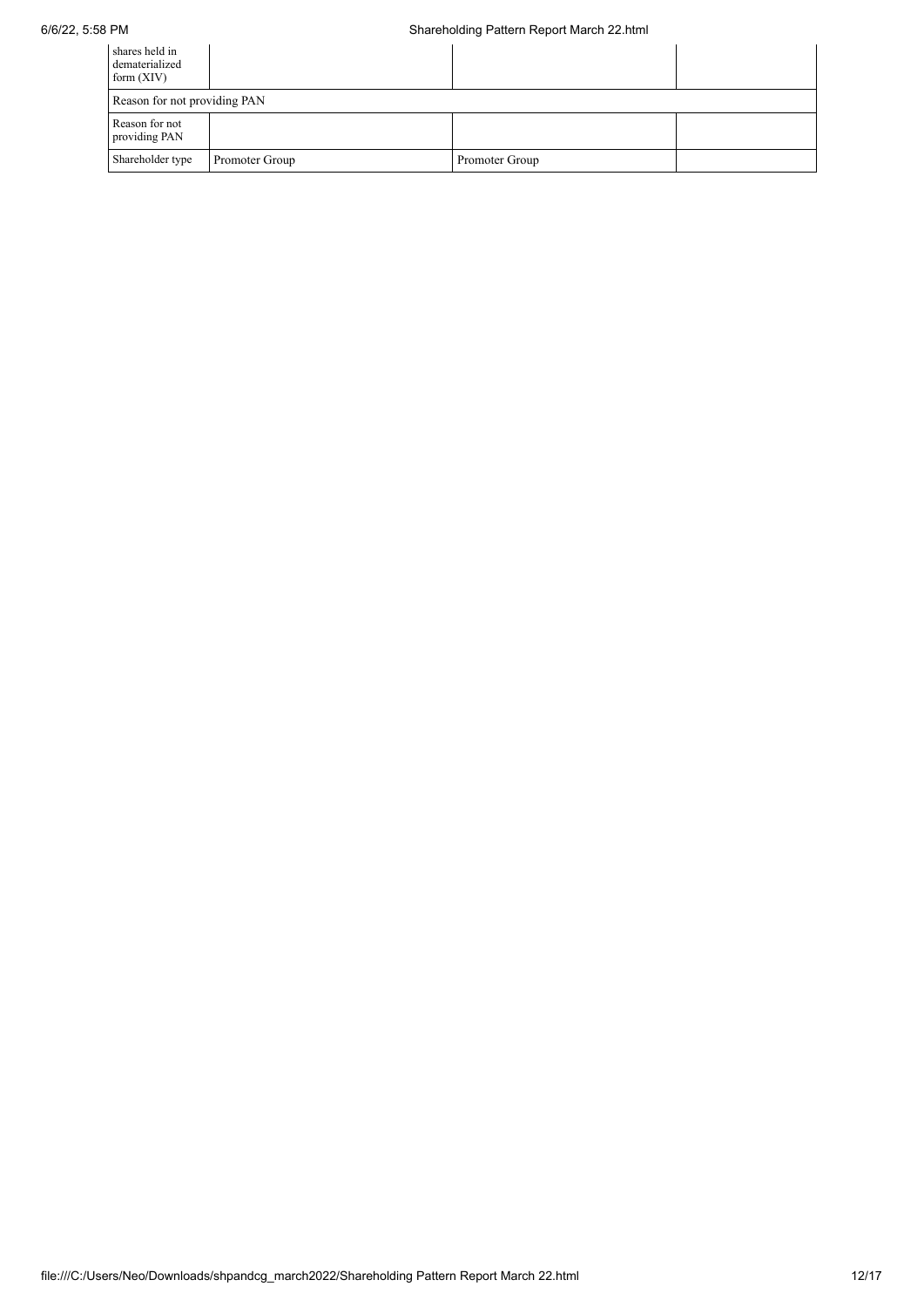| shares held in<br>dematerialized<br>form $(XIV)$ |                |                |  |  |  |  |  |  |
|--------------------------------------------------|----------------|----------------|--|--|--|--|--|--|
| Reason for not providing PAN                     |                |                |  |  |  |  |  |  |
| Reason for not<br>providing PAN                  |                |                |  |  |  |  |  |  |
| Shareholder type                                 | Promoter Group | Promoter Group |  |  |  |  |  |  |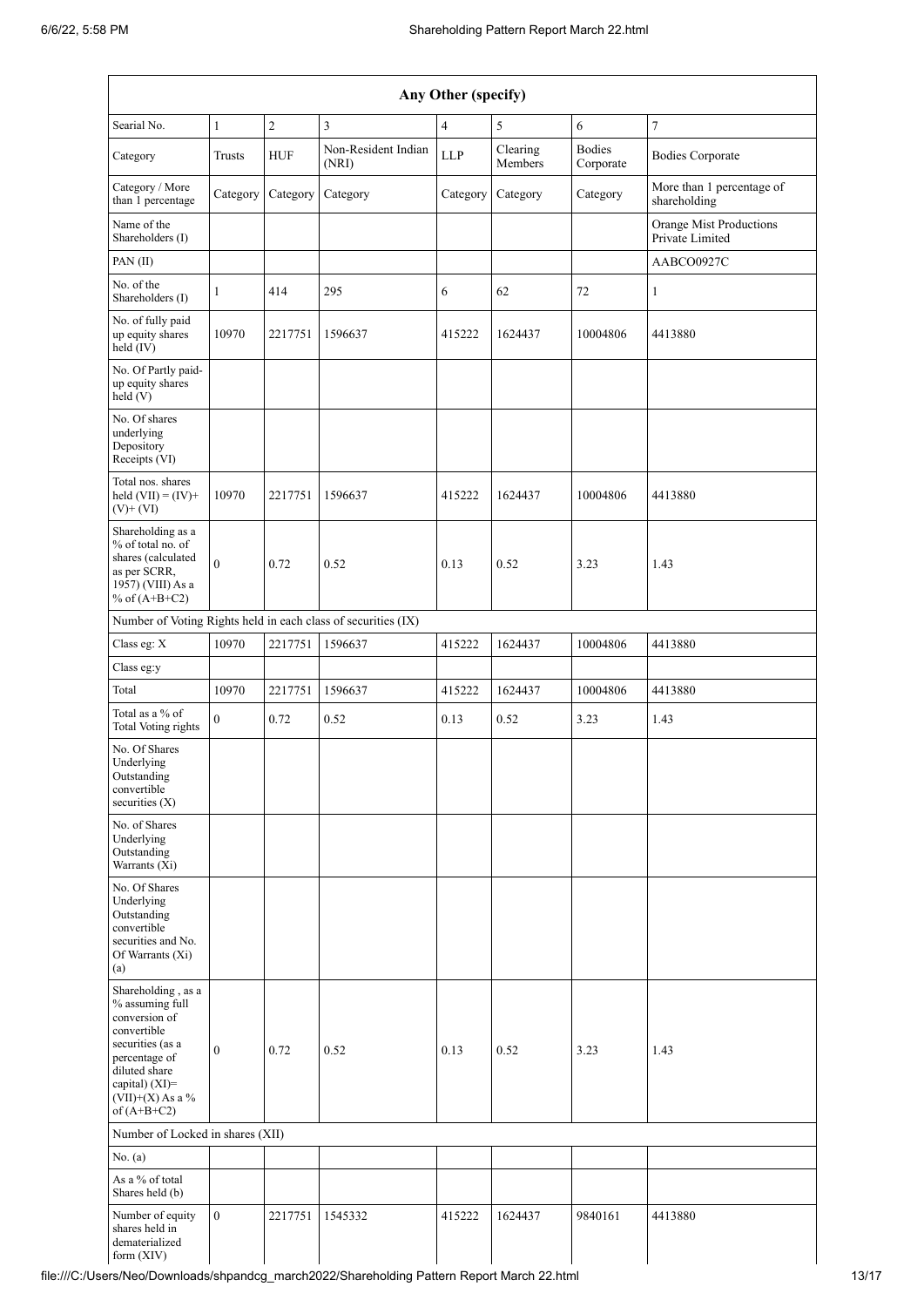| Any Other (specify)                                                                                                                                                                  |                  |              |                                                               |                |                     |                            |                                            |
|--------------------------------------------------------------------------------------------------------------------------------------------------------------------------------------|------------------|--------------|---------------------------------------------------------------|----------------|---------------------|----------------------------|--------------------------------------------|
| Searial No.                                                                                                                                                                          | $\mathbf{1}$     | $\mathbf{2}$ | 3                                                             | $\overline{4}$ | 5                   | 6                          | 7                                          |
| Category                                                                                                                                                                             | <b>Trusts</b>    | <b>HUF</b>   | Non-Resident Indian<br>(NRI)                                  | <b>LLP</b>     | Clearing<br>Members | <b>Bodies</b><br>Corporate | <b>Bodies Corporate</b>                    |
| Category / More<br>than 1 percentage                                                                                                                                                 | Category         | Category     | Category                                                      | Category       | Category            | Category                   | More than 1 percentage of<br>shareholding  |
| Name of the<br>Shareholders (I)                                                                                                                                                      |                  |              |                                                               |                |                     |                            | Orange Mist Productions<br>Private Limited |
| PAN(II)                                                                                                                                                                              |                  |              |                                                               |                |                     |                            | AABCO0927C                                 |
| No. of the<br>Shareholders (I)                                                                                                                                                       | 1                | 414          | 295                                                           | 6              | 62                  | 72                         | 1                                          |
| No. of fully paid<br>up equity shares<br>held (IV)                                                                                                                                   | 10970            | 2217751      | 1596637                                                       | 415222         | 1624437             | 10004806                   | 4413880                                    |
| No. Of Partly paid-<br>up equity shares<br>held $(V)$                                                                                                                                |                  |              |                                                               |                |                     |                            |                                            |
| No. Of shares<br>underlying<br>Depository<br>Receipts (VI)                                                                                                                           |                  |              |                                                               |                |                     |                            |                                            |
| Total nos. shares<br>held $(VII) = (IV) +$<br>$(V) + (VI)$                                                                                                                           | 10970            | 2217751      | 1596637                                                       | 415222         | 1624437             | 10004806                   | 4413880                                    |
| Shareholding as a<br>% of total no. of<br>shares (calculated<br>as per SCRR,<br>1957) (VIII) As a<br>% of $(A+B+C2)$                                                                 | $\mathbf{0}$     | 0.72         | 0.52                                                          | 0.13           | 0.52                | 3.23                       | 1.43                                       |
|                                                                                                                                                                                      |                  |              | Number of Voting Rights held in each class of securities (IX) |                |                     |                            |                                            |
| Class eg: $\mathbf X$                                                                                                                                                                | 10970            | 2217751      | 1596637                                                       | 415222         | 1624437             | 10004806                   | 4413880                                    |
| Class eg:y                                                                                                                                                                           |                  |              |                                                               |                |                     |                            |                                            |
| Total                                                                                                                                                                                | 10970            | 2217751      | 1596637                                                       | 415222         | 1624437             | 10004806                   | 4413880                                    |
| Total as a % of<br><b>Total Voting rights</b>                                                                                                                                        | $\overline{0}$   | 0.72         | 0.52                                                          | 0.13           | 0.52                | 3.23                       | 1.43                                       |
| No. Of Shares<br>Underlying<br>Outstanding<br>convertible<br>securities $(X)$                                                                                                        |                  |              |                                                               |                |                     |                            |                                            |
| No. of Shares<br>Underlying<br>Outstanding<br>Warrants (Xi)                                                                                                                          |                  |              |                                                               |                |                     |                            |                                            |
| No. Of Shares<br>Underlying<br>Outstanding<br>convertible<br>securities and No.<br>Of Warrants (Xi)<br>(a)                                                                           |                  |              |                                                               |                |                     |                            |                                            |
| Shareholding, as a<br>% assuming full<br>conversion of<br>convertible<br>securities (as a<br>percentage of<br>diluted share<br>capital) (XI)=<br>$(VII)+(X)$ As a %<br>of $(A+B+C2)$ | $\boldsymbol{0}$ | 0.72         | 0.52                                                          | 0.13           | 0.52                | 3.23                       | 1.43                                       |
| Number of Locked in shares (XII)                                                                                                                                                     |                  |              |                                                               |                |                     |                            |                                            |
| No. (a)                                                                                                                                                                              |                  |              |                                                               |                |                     |                            |                                            |
| As a % of total<br>Shares held (b)                                                                                                                                                   |                  |              |                                                               |                |                     |                            |                                            |
| Number of equity<br>shares held in<br>dematerialized<br>form $(XIV)$                                                                                                                 | $\mathbf{0}$     | 2217751      | 1545332                                                       | 415222         | 1624437             | 9840161                    | 4413880                                    |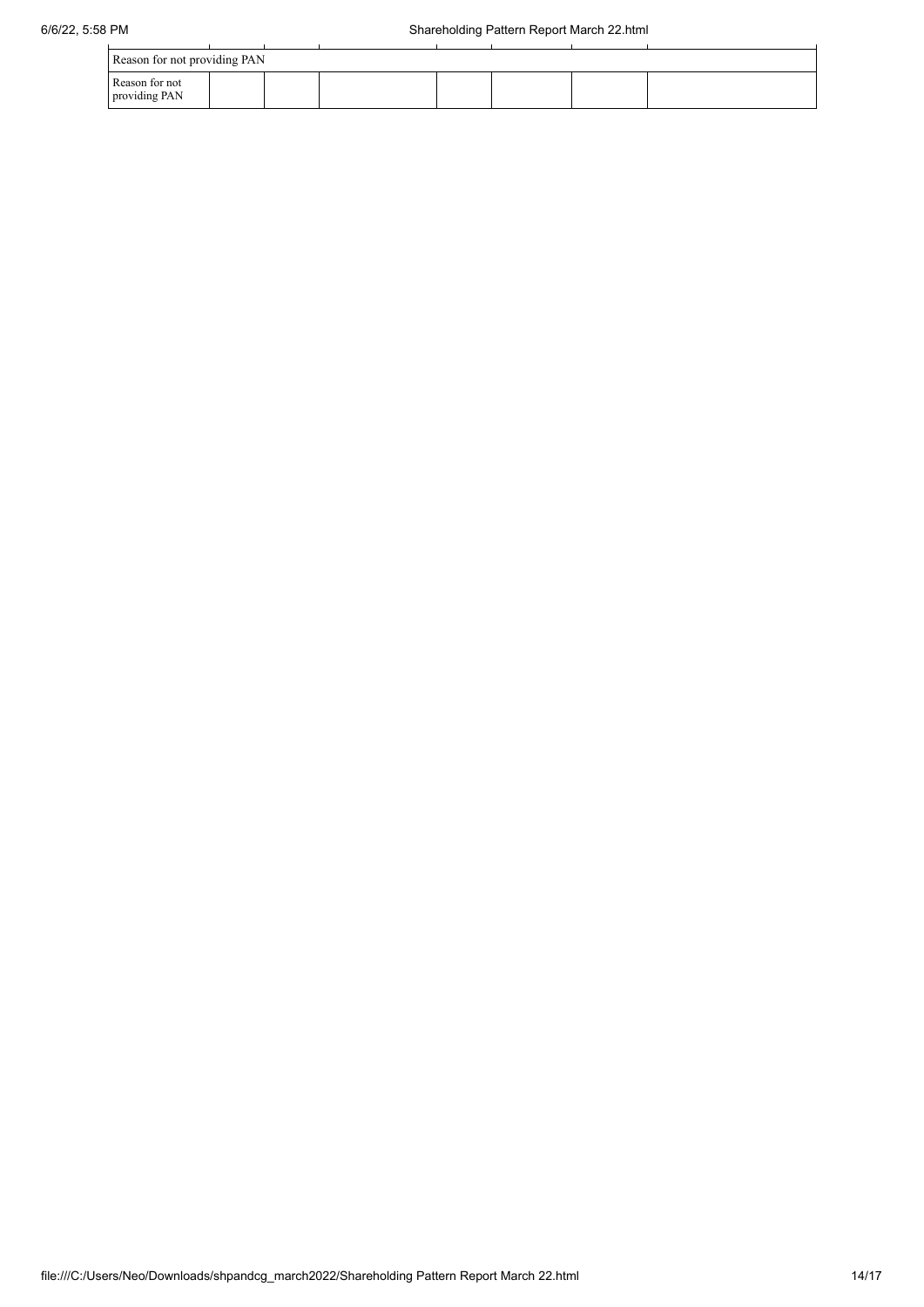| Reason for not providing PAN    |  |  |  |  |  |  |
|---------------------------------|--|--|--|--|--|--|
| Reason for not<br>providing PAN |  |  |  |  |  |  |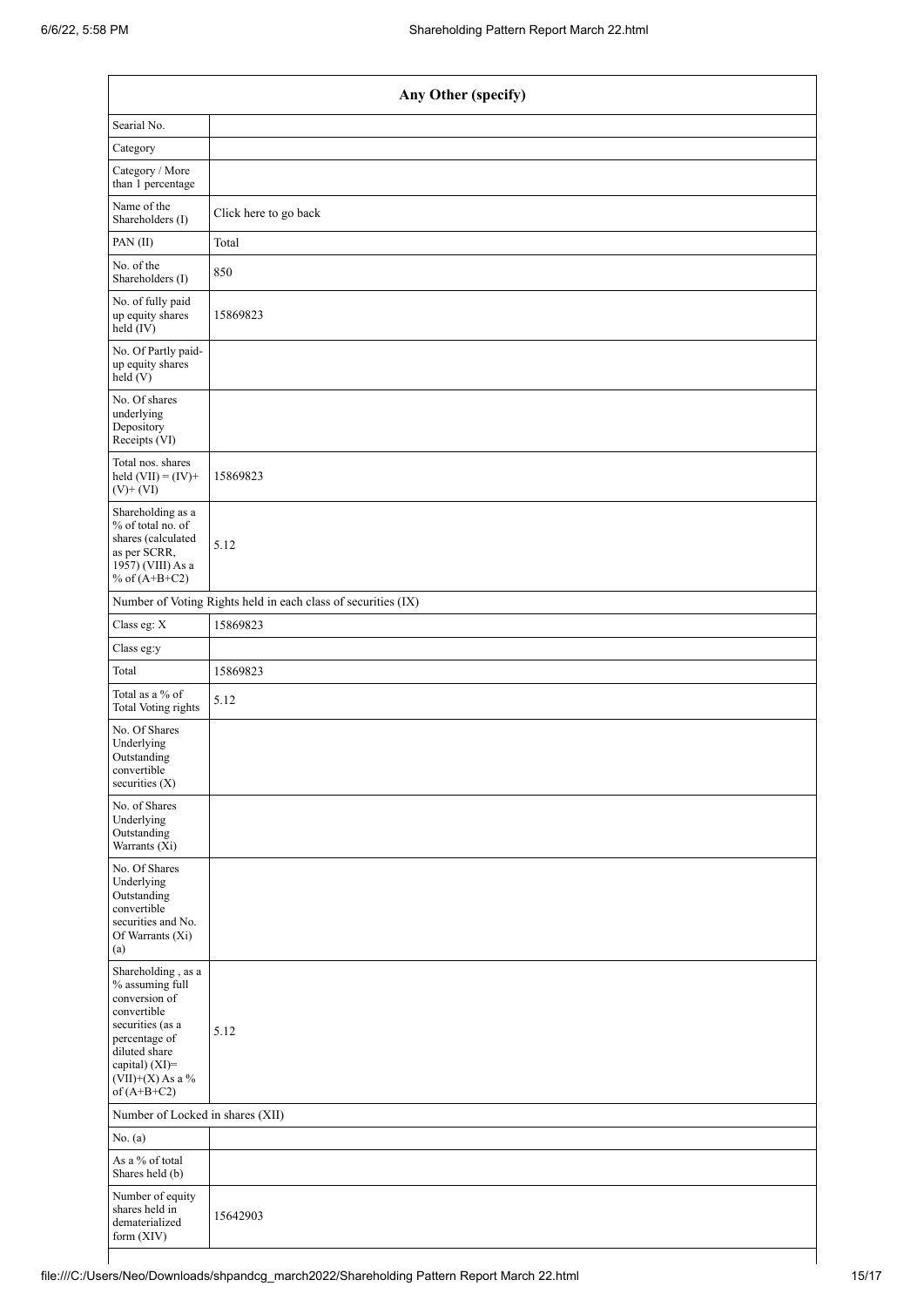| Any Other (specify)                                                                                                                                                                  |                                                               |  |  |  |  |
|--------------------------------------------------------------------------------------------------------------------------------------------------------------------------------------|---------------------------------------------------------------|--|--|--|--|
| Searial No.                                                                                                                                                                          |                                                               |  |  |  |  |
| Category                                                                                                                                                                             |                                                               |  |  |  |  |
| Category / More<br>than 1 percentage                                                                                                                                                 |                                                               |  |  |  |  |
| Name of the<br>Shareholders (I)                                                                                                                                                      | Click here to go back                                         |  |  |  |  |
| PAN(II)                                                                                                                                                                              | Total                                                         |  |  |  |  |
| No. of the<br>Shareholders (I)                                                                                                                                                       | 850                                                           |  |  |  |  |
| No. of fully paid<br>up equity shares<br>$\text{held} (IV)$                                                                                                                          | 15869823                                                      |  |  |  |  |
| No. Of Partly paid-<br>up equity shares<br>held(V)                                                                                                                                   |                                                               |  |  |  |  |
| No. Of shares<br>underlying<br>Depository<br>Receipts (VI)                                                                                                                           |                                                               |  |  |  |  |
| Total nos. shares<br>held $(VII) = (IV) +$<br>$(V)$ + $(VI)$                                                                                                                         | 15869823                                                      |  |  |  |  |
| Shareholding as a<br>% of total no. of<br>shares (calculated<br>as per SCRR,<br>1957) (VIII) As a<br>% of $(A+B+C2)$                                                                 | 5.12                                                          |  |  |  |  |
|                                                                                                                                                                                      | Number of Voting Rights held in each class of securities (IX) |  |  |  |  |
| Class eg: X                                                                                                                                                                          | 15869823                                                      |  |  |  |  |
| Class eg:y                                                                                                                                                                           |                                                               |  |  |  |  |
| Total                                                                                                                                                                                | 15869823                                                      |  |  |  |  |
| Total as a % of<br><b>Total Voting rights</b>                                                                                                                                        | 5.12                                                          |  |  |  |  |
| No. Of Shares<br>Underlying<br>Outstanding<br>convertible<br>securities (X)                                                                                                          |                                                               |  |  |  |  |
| No. of Shares<br>Underlying<br>Outstanding<br>Warrants (Xi)                                                                                                                          |                                                               |  |  |  |  |
| No. Of Shares<br>Underlying<br>Outstanding<br>convertible<br>securities and No.<br>Of Warrants (Xi)<br>(a)                                                                           |                                                               |  |  |  |  |
| Shareholding, as a<br>% assuming full<br>conversion of<br>convertible<br>securities (as a<br>percentage of<br>diluted share<br>capital) (XI)=<br>$(VII)+(X)$ As a %<br>of $(A+B+C2)$ | 5.12                                                          |  |  |  |  |
| Number of Locked in shares (XII)                                                                                                                                                     |                                                               |  |  |  |  |
| No. (a)                                                                                                                                                                              |                                                               |  |  |  |  |
| As a % of total<br>Shares held (b)                                                                                                                                                   |                                                               |  |  |  |  |
| Number of equity<br>shares held in<br>dematerialized<br>form (XIV)                                                                                                                   | 15642903                                                      |  |  |  |  |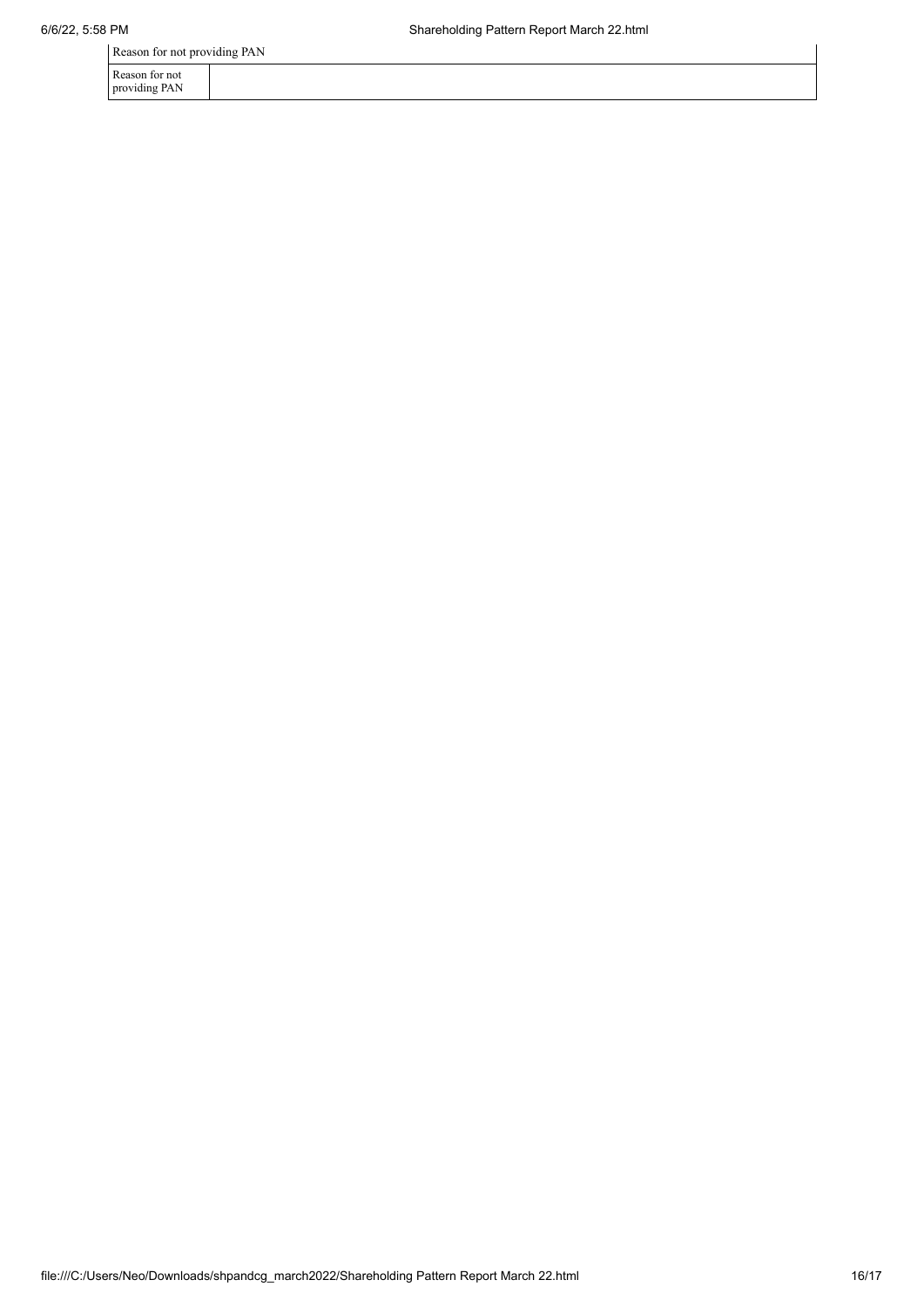Reason for not providing PAN

| Reason for not<br>providing PAN |  |  |  |  |
|---------------------------------|--|--|--|--|